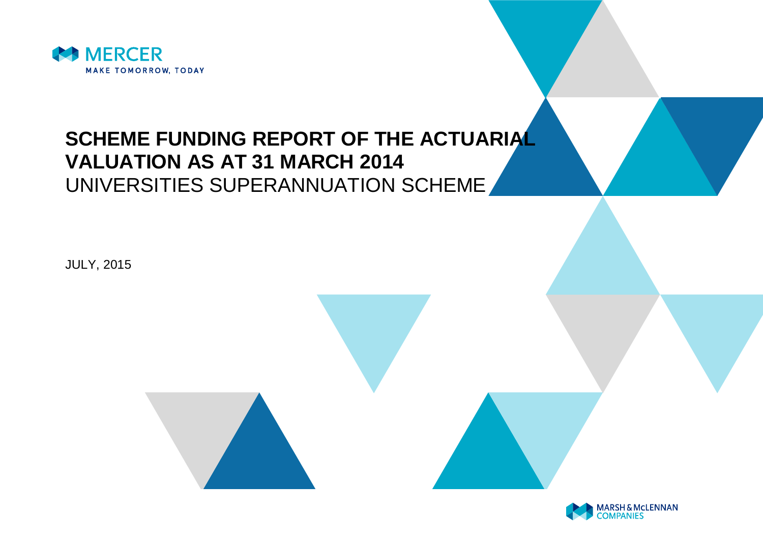

# **SCHEME FUNDING REPORT OF THE ACTUARIAL VALUATION AS AT 31 MARCH 2014** UNIVERSITIES SUPERANNUATION SCHEME

JULY, 2015

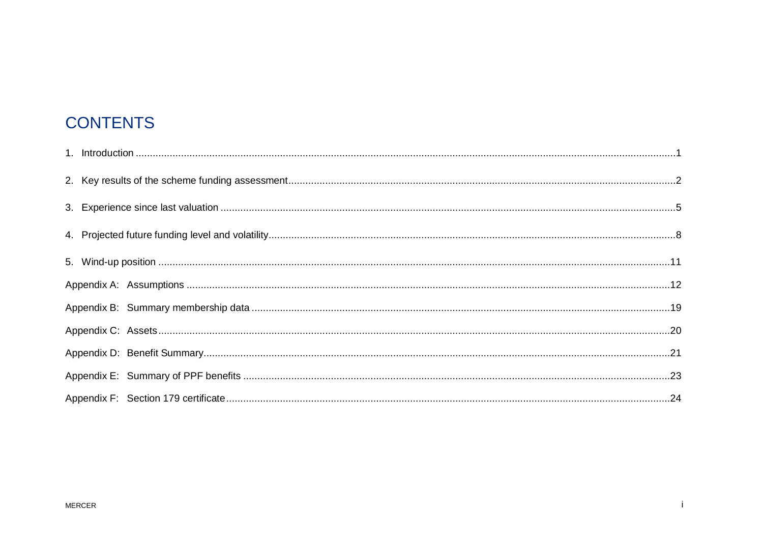# **CONTENTS**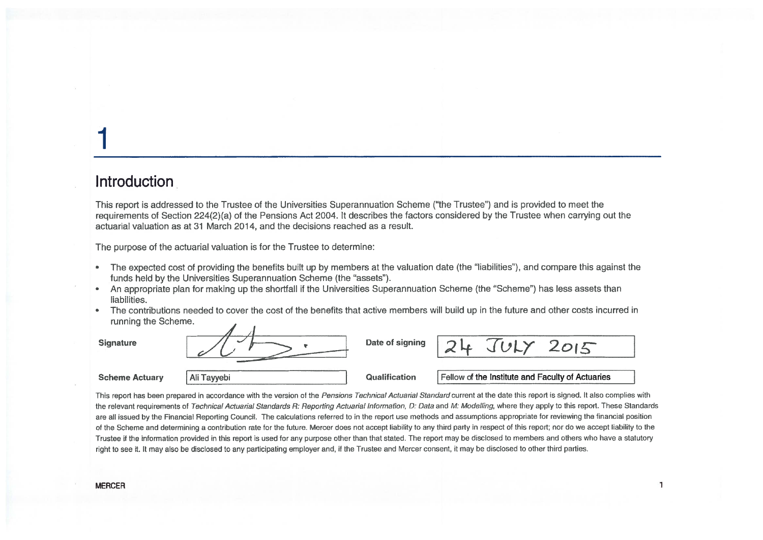### Introduction

This report is addressed to the Trustee of the Universities Superannuation Scheme ("the Trustee") and is provided to meet the requirements of Section 224(2)(a) of the Pensions Act 2004. It describes the factors considered by the Trustee when carrying out the actuarial valuation as at 31 March 2014, and the decisions reached as a result.

The purpose of the actuarial valuation is for the Trustee to determine:

- The expected cost of providing the benefits built up by members at the valuation date (the "liabilities"), and compare this against the  $\bullet$ funds held by the Universities Superannuation Scheme (the "assets").
- An appropriate plan for making up the shortfall if the Universities Superannuation Scheme (the "Scheme") has less assets than  $\bullet$ liabilities.
- The contributions needed to cover the cost of the benefits that active members will build up in the future and other costs incurred in  $\bullet$ running the Scheme.



This report has been prepared in accordance with the version of the Pensions Technical Actuarial Standard current at the date this report is signed. It also complies with the relevant requirements of Technical Actuarial Standards R: Reporting Actuarial Information, D: Data and M: Modelling, where they apply to this report. These Standards are all issued by the Financial Reporting Council. The calculations referred to in the report use methods and assumptions appropriate for reviewing the financial position of the Scheme and determining a contribution rate for the future. Mercer does not accept liability to any third party in respect of this report; nor do we accept liability to the Trustee if the information provided in this report is used for any purpose other than that stated. The report may be disclosed to members and others who have a statutory right to see it. It may also be disclosed to any participating employer and, if the Trustee and Mercer consent, it may be disclosed to other third parties.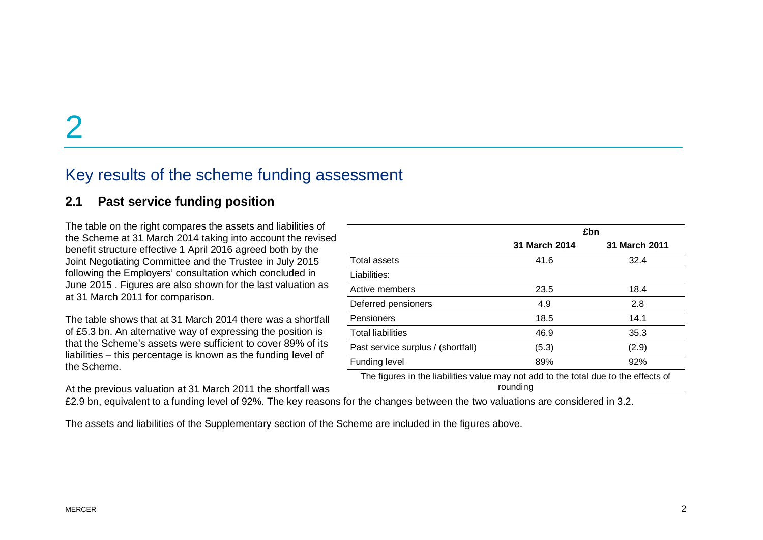### Key results of the scheme funding assessment

#### **2.1 Past service funding position**

The table on the right compares the assets and liabilities of the Scheme at 31 March 2014 taking into account the revised benefit structure effective 1 April 2016 agreed both by the Joint Negotiating Committee and the Trustee in July 2015 following the Employers' consultation which concluded in June 2015 . Figures are also shown for the last valuation as at 31 March 2011 for comparison.

The table shows that at 31 March 2014 there was a shortfall of £5.3 bn. An alternative way of expressing the position is that the Scheme's assets were sufficient to cover 89% of its liabilities – this percentage is known as the funding level of the Scheme.

At the previous valuation at 31 March 2011 the shortfall was

**£bn 31 March 2014 31 March 2011** Total assets Total assets and the contract of the contract of the 41.6 and 32.4 and 32.4 and 32.4 and 32.4 and 32.4 and 32.4 and 32.4 and 32.4 and 32.4 and 32.4 and 32.4 and 32.4 and 32.4 and 32.4 and 32.4 and 32.4 and 32. Liabilities: Active members 23.5 18.4 Deferred pensioners 4.9 2.8 Pensioners 18.5 14.1 Total liabilities 46.9 35.3 Past service surplus / (shortfall) (5.3) (2.9) Funding level 89% 89% 92%

The figures in the liabilities value may not add to the total due to the effects of rounding

£2.9 bn, equivalent to a funding level of 92%. The key reasons for the changes between the two valuations are considered in 3.2.

The assets and liabilities of the Supplementary section of the Scheme are included in the figures above.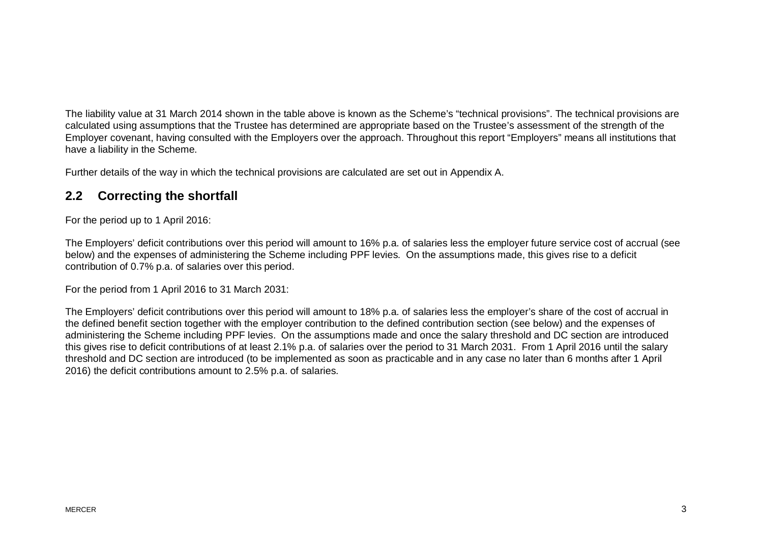The liability value at 31 March 2014 shown in the table above is known as the Scheme's "technical provisions". The technical provisions are calculated using assumptions that the Trustee has determined are appropriate based on the Trustee's assessment of the strength of the Employer covenant, having consulted with the Employers over the approach. Throughout this report "Employers" means all institutions that have a liability in the Scheme.

Further details of the way in which the technical provisions are calculated are set out in Appendix A.

#### **2.2 Correcting the shortfall**

For the period up to 1 April 2016:

The Employers' deficit contributions over this period will amount to 16% p.a. of salaries less the employer future service cost of accrual (see below) and the expenses of administering the Scheme including PPF levies. On the assumptions made, this gives rise to a deficit contribution of 0.7% p.a. of salaries over this period.

For the period from 1 April 2016 to 31 March 2031:

The Employers' deficit contributions over this period will amount to 18% p.a. of salaries less the employer's share of the cost of accrual in the defined benefit section together with the employer contribution to the defined contribution section (see below) and the expenses of administering the Scheme including PPF levies. On the assumptions made and once the salary threshold and DC section are introduced this gives rise to deficit contributions of at least 2.1% p.a. of salaries over the period to 31 March 2031. From 1 April 2016 until the salary threshold and DC section are introduced (to be implemented as soon as practicable and in any case no later than 6 months after 1 April 2016) the deficit contributions amount to 2.5% p.a. of salaries.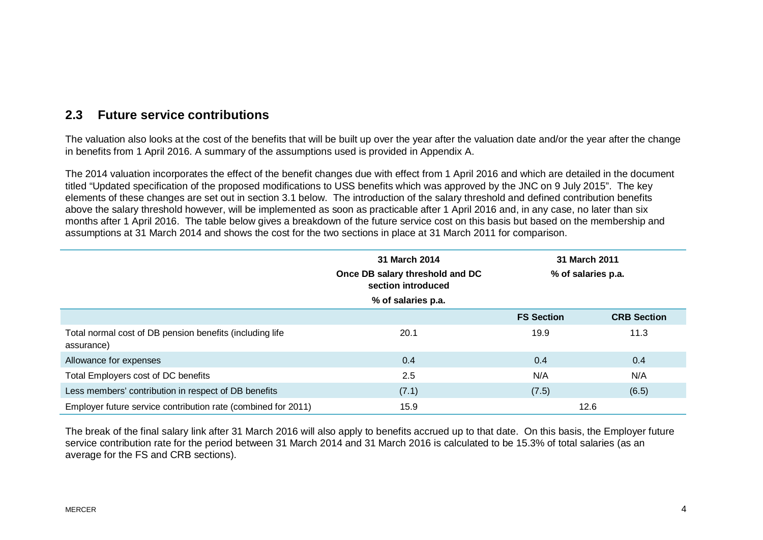#### **2.3 Future service contributions**

The valuation also looks at the cost of the benefits that will be built up over the year after the valuation date and/or the year after the change in benefits from 1 April 2016. A summary of the assumptions used is provided in Appendix A.

The 2014 valuation incorporates the effect of the benefit changes due with effect from 1 April 2016 and which are detailed in the document titled "Updated specification of the proposed modifications to USS benefits which was approved by the JNC on 9 July 2015". The key elements of these changes are set out in section 3.1 below. The introduction of the salary threshold and defined contribution benefits above the salary threshold however, will be implemented as soon as practicable after 1 April 2016 and, in any case, no later than six months after 1 April 2016. The table below gives a breakdown of the future service cost on this basis but based on the membership and assumptions at 31 March 2014 and shows the cost for the two sections in place at 31 March 2011 for comparison.

|                                                                        | 31 March 2014<br>Once DB salary threshold and DC<br>section introduced<br>% of salaries p.a. | 31 March 2011<br>% of salaries p.a. |                    |
|------------------------------------------------------------------------|----------------------------------------------------------------------------------------------|-------------------------------------|--------------------|
|                                                                        |                                                                                              | <b>FS Section</b>                   | <b>CRB Section</b> |
| Total normal cost of DB pension benefits (including life<br>assurance) | 20.1                                                                                         | 19.9                                | 11.3               |
| Allowance for expenses                                                 | 0.4                                                                                          | 0.4                                 | 0.4                |
| Total Employers cost of DC benefits                                    | 2.5                                                                                          | N/A                                 | N/A                |
| Less members' contribution in respect of DB benefits                   | (7.1)                                                                                        | (7.5)                               | (6.5)              |
| Employer future service contribution rate (combined for 2011)          | 15.9                                                                                         |                                     | 12.6               |

The break of the final salary link after 31 March 2016 will also apply to benefits accrued up to that date. On this basis, the Employer future service contribution rate for the period between 31 March 2014 and 31 March 2016 is calculated to be 15.3% of total salaries (as an average for the FS and CRB sections).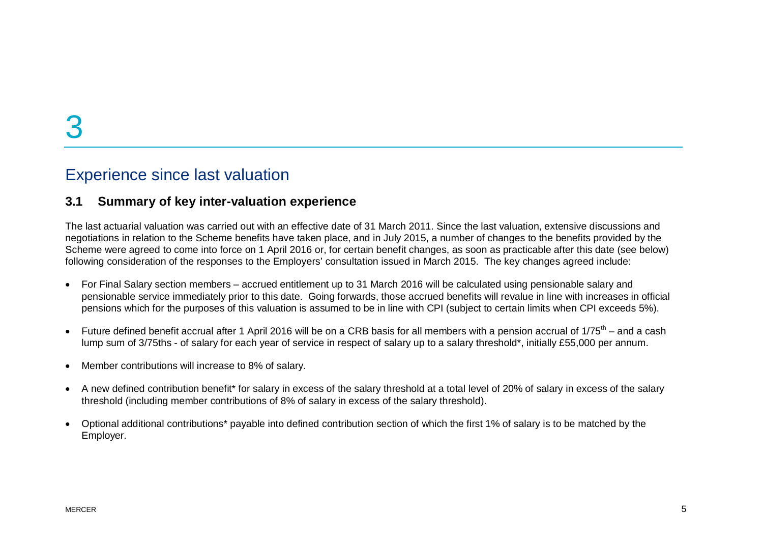### Experience since last valuation

#### **3.1 Summary of key inter-valuation experience**

The last actuarial valuation was carried out with an effective date of 31 March 2011. Since the last valuation, extensive discussions and negotiations in relation to the Scheme benefits have taken place, and in July 2015, a number of changes to the benefits provided by the Scheme were agreed to come into force on 1 April 2016 or, for certain benefit changes, as soon as practicable after this date (see below) following consideration of the responses to the Employers' consultation issued in March 2015. The key changes agreed include:

- · For Final Salary section members accrued entitlement up to 31 March 2016 will be calculated using pensionable salary and pensionable service immediately prior to this date. Going forwards, those accrued benefits will revalue in line with increases in official pensions which for the purposes of this valuation is assumed to be in line with CPI (subject to certain limits when CPI exceeds 5%).
- Future defined benefit accrual after 1 April 2016 will be on a CRB basis for all members with a pension accrual of  $1/75<sup>th</sup>$  and a cash lump sum of 3/75ths - of salary for each year of service in respect of salary up to a salary threshold\*, initially £55,000 per annum.
- · Member contributions will increase to 8% of salary.
- A new defined contribution benefit\* for salary in excess of the salary threshold at a total level of 20% of salary in excess of the salary threshold (including member contributions of 8% of salary in excess of the salary threshold).
- · Optional additional contributions\* payable into defined contribution section of which the first 1% of salary is to be matched by the Employer.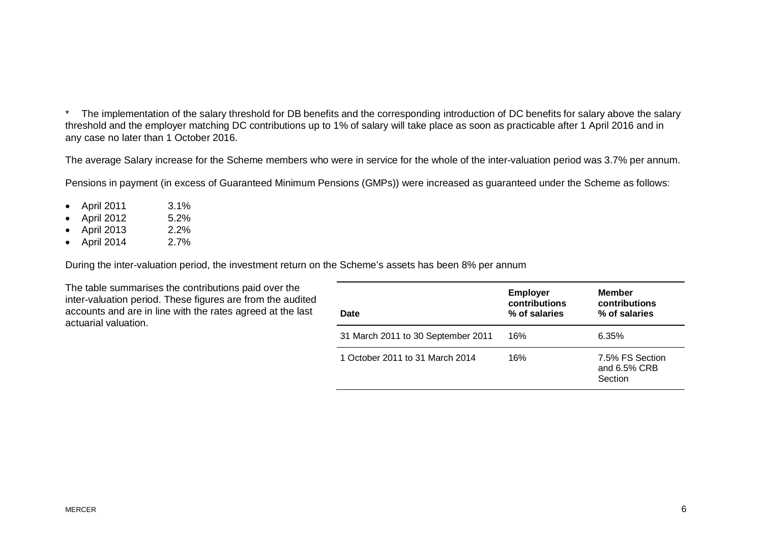\* The implementation of the salary threshold for DB benefits and the corresponding introduction of DC benefits for salary above the salary threshold and the employer matching DC contributions up to 1% of salary will take place as soon as practicable after 1 April 2016 and in any case no later than 1 October 2016.

The average Salary increase for the Scheme members who were in service for the whole of the inter-valuation period was 3.7% per annum.

Pensions in payment (in excess of Guaranteed Minimum Pensions (GMPs)) were increased as guaranteed under the Scheme as follows:

- · April 2011 3.1%
- · April 2012 5.2%
- · April 2013 2.2%
- · April 2014 2.7%

During the inter-valuation period, the investment return on the Scheme's assets has been 8% per annum

The table summarises the contributions paid over the inter-valuation period. These figures are from the audited accounts and are in line with the rates agreed at the last actuarial valuation.

| Date                               | <b>Employer</b><br>contributions<br>% of salaries | <b>Member</b><br>contributions<br>% of salaries |
|------------------------------------|---------------------------------------------------|-------------------------------------------------|
| 31 March 2011 to 30 September 2011 | 16%                                               | 6.35%                                           |
| 1 October 2011 to 31 March 2014    | 16%                                               | 7.5% FS Section<br>and 6.5% CRB<br>Section      |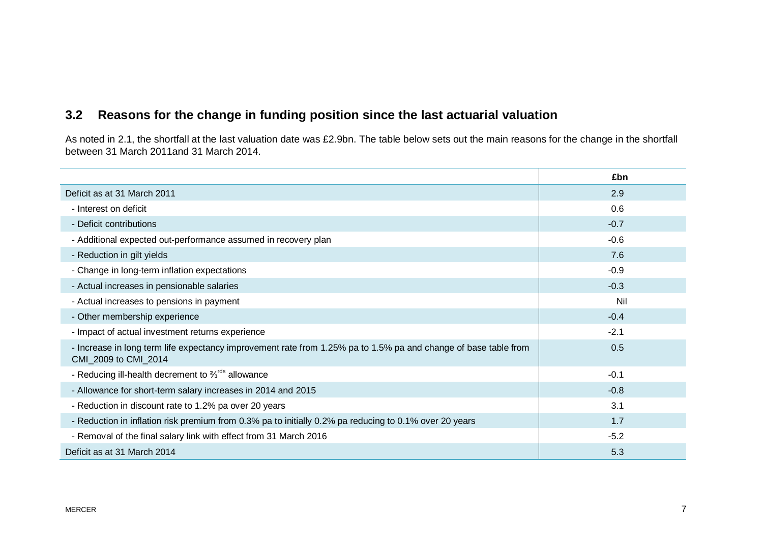### **3.2 Reasons for the change in funding position since the last actuarial valuation**

As noted in 2.1, the shortfall at the last valuation date was £2.9bn. The table below sets out the main reasons for the change in the shortfall between 31 March 2011and 31 March 2014.

|                                                                                                                                         | £bn    |
|-----------------------------------------------------------------------------------------------------------------------------------------|--------|
| Deficit as at 31 March 2011                                                                                                             | 2.9    |
| - Interest on deficit                                                                                                                   | 0.6    |
| - Deficit contributions                                                                                                                 | $-0.7$ |
| - Additional expected out-performance assumed in recovery plan                                                                          | $-0.6$ |
| - Reduction in gilt yields                                                                                                              | 7.6    |
| - Change in long-term inflation expectations                                                                                            | $-0.9$ |
| - Actual increases in pensionable salaries                                                                                              | $-0.3$ |
| - Actual increases to pensions in payment                                                                                               | Nil    |
| - Other membership experience                                                                                                           | $-0.4$ |
| - Impact of actual investment returns experience                                                                                        | $-2.1$ |
| - Increase in long term life expectancy improvement rate from 1.25% pa to 1.5% pa and change of base table from<br>CMI_2009 to CMI_2014 | 0.5    |
| - Reducing ill-health decrement to $\frac{2}{3}$ <sup>rds</sup> allowance                                                               | $-0.1$ |
| - Allowance for short-term salary increases in 2014 and 2015                                                                            | $-0.8$ |
| - Reduction in discount rate to 1.2% pa over 20 years                                                                                   | 3.1    |
| - Reduction in inflation risk premium from 0.3% pa to initially 0.2% pa reducing to 0.1% over 20 years                                  | 1.7    |
| - Removal of the final salary link with effect from 31 March 2016                                                                       | $-5.2$ |
| Deficit as at 31 March 2014                                                                                                             | 5.3    |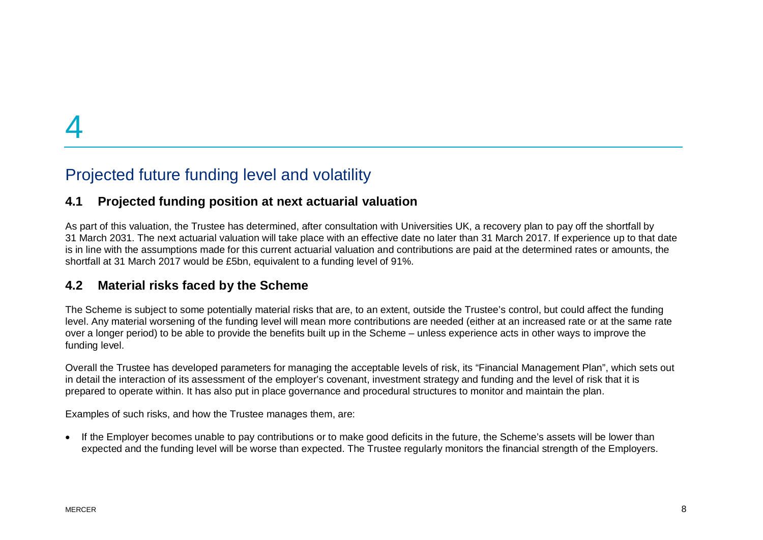# Projected future funding level and volatility

#### **4.1 Projected funding position at next actuarial valuation**

As part of this valuation, the Trustee has determined, after consultation with Universities UK, a recovery plan to pay off the shortfall by 31 March 2031. The next actuarial valuation will take place with an effective date no later than 31 March 2017. If experience up to that date is in line with the assumptions made for this current actuarial valuation and contributions are paid at the determined rates or amounts, the shortfall at 31 March 2017 would be £5bn, equivalent to a funding level of 91%.

#### **4.2 Material risks faced by the Scheme**

The Scheme is subject to some potentially material risks that are, to an extent, outside the Trustee's control, but could affect the funding level. Any material worsening of the funding level will mean more contributions are needed (either at an increased rate or at the same rate over a longer period) to be able to provide the benefits built up in the Scheme – unless experience acts in other ways to improve the funding level.

Overall the Trustee has developed parameters for managing the acceptable levels of risk, its "Financial Management Plan", which sets out in detail the interaction of its assessment of the employer's covenant, investment strategy and funding and the level of risk that it is prepared to operate within. It has also put in place governance and procedural structures to monitor and maintain the plan.

Examples of such risks, and how the Trustee manages them, are:

• If the Employer becomes unable to pay contributions or to make good deficits in the future, the Scheme's assets will be lower than expected and the funding level will be worse than expected. The Trustee regularly monitors the financial strength of the Employers.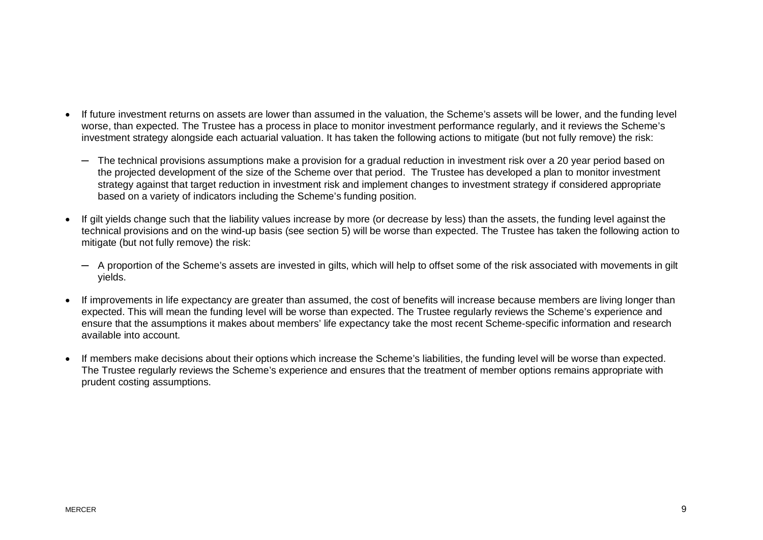- · If future investment returns on assets are lower than assumed in the valuation, the Scheme's assets will be lower, and the funding level worse, than expected. The Trustee has a process in place to monitor investment performance regularly, and it reviews the Scheme's investment strategy alongside each actuarial valuation. It has taken the following actions to mitigate (but not fully remove) the risk:
	- ─ The technical provisions assumptions make a provision for a gradual reduction in investment risk over a 20 year period based on the projected development of the size of the Scheme over that period. The Trustee has developed a plan to monitor investment strategy against that target reduction in investment risk and implement changes to investment strategy if considered appropriate based on a variety of indicators including the Scheme's funding position.
- · If gilt yields change such that the liability values increase by more (or decrease by less) than the assets, the funding level against the technical provisions and on the wind-up basis (see section 5) will be worse than expected. The Trustee has taken the following action to mitigate (but not fully remove) the risk:
	- ─ A proportion of the Scheme's assets are invested in gilts, which will help to offset some of the risk associated with movements in gilt yields.
- · If improvements in life expectancy are greater than assumed, the cost of benefits will increase because members are living longer than expected. This will mean the funding level will be worse than expected. The Trustee regularly reviews the Scheme's experience and ensure that the assumptions it makes about members' life expectancy take the most recent Scheme-specific information and research available into account.
- · If members make decisions about their options which increase the Scheme's liabilities, the funding level will be worse than expected. The Trustee regularly reviews the Scheme's experience and ensures that the treatment of member options remains appropriate with prudent costing assumptions.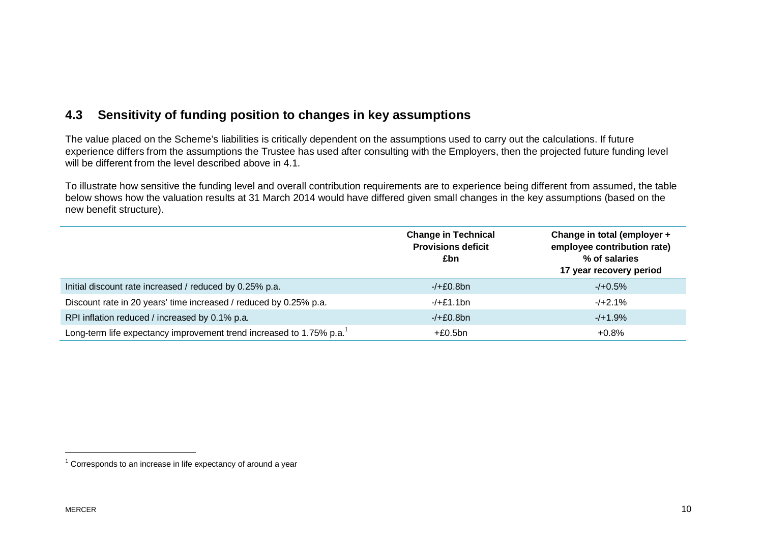#### **4.3 Sensitivity of funding position to changes in key assumptions**

The value placed on the Scheme's liabilities is critically dependent on the assumptions used to carry out the calculations. If future experience differs from the assumptions the Trustee has used after consulting with the Employers, then the projected future funding level will be different from the level described above in 4.1.

To illustrate how sensitive the funding level and overall contribution requirements are to experience being different from assumed, the table below shows how the valuation results at 31 March 2014 would have differed given small changes in the key assumptions (based on the new benefit structure).

|                                                                                  | <b>Change in Technical</b><br><b>Provisions deficit</b><br>£bn | Change in total (employer +<br>employee contribution rate)<br>% of salaries<br>17 year recovery period |
|----------------------------------------------------------------------------------|----------------------------------------------------------------|--------------------------------------------------------------------------------------------------------|
| Initial discount rate increased / reduced by 0.25% p.a.                          | $-/-E0.8bn$                                                    | $-/-0.5%$                                                                                              |
| Discount rate in 20 years' time increased / reduced by 0.25% p.a.                | $-/-£1.1bn$                                                    | $-1+2.1\%$                                                                                             |
| RPI inflation reduced / increased by 0.1% p.a.                                   | $-/-E0.8bn$                                                    | $-$ /+1.9%                                                                                             |
| Long-term life expectancy improvement trend increased to 1.75% p.a. <sup>1</sup> | $+£0.5bn$                                                      | $+0.8\%$                                                                                               |

 $1$  Corresponds to an increase in life expectancy of around a year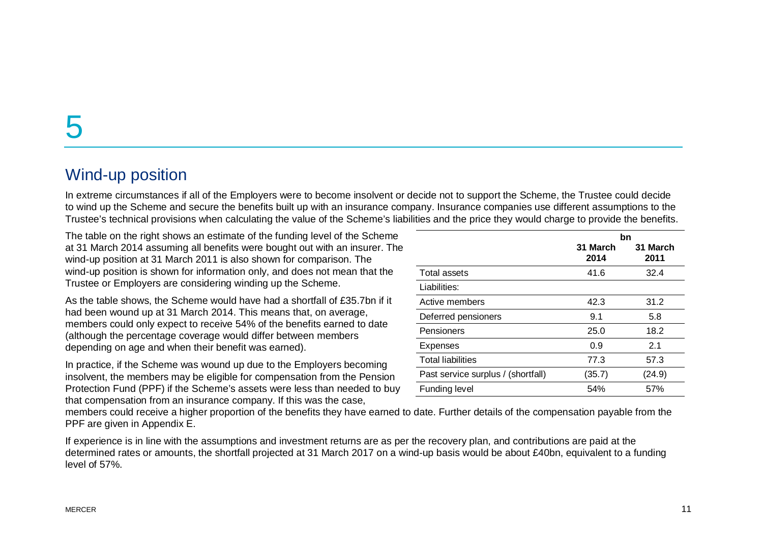## Wind-up position

In extreme circumstances if all of the Employers were to become insolvent or decide not to support the Scheme, the Trustee could decide to wind up the Scheme and secure the benefits built up with an insurance company. Insurance companies use different assumptions to the Trustee's technical provisions when calculating the value of the Scheme's liabilities and the price they would charge to provide the benefits.

The table on the right shows an estimate of the funding level of the Scheme at 31 March 2014 assuming all benefits were bought out with an insurer. The wind-up position at 31 March 2011 is also shown for comparison. The wind-up position is shown for information only, and does not mean that the Trustee or Employers are considering winding up the Scheme.

As the table shows, the Scheme would have had a shortfall of £35.7bn if it had been wound up at 31 March 2014. This means that, on average, members could only expect to receive 54% of the benefits earned to date (although the percentage coverage would differ between members depending on age and when their benefit was earned).

In practice, if the Scheme was wound up due to the Employers becoming insolvent, the members may be eligible for compensation from the Pension Protection Fund (PPF) if the Scheme's assets were less than needed to buy that compensation from an insurance company. If this was the case,

|                                    |                  | bn               |
|------------------------------------|------------------|------------------|
|                                    | 31 March<br>2014 | 31 March<br>2011 |
| Total assets                       | 41.6             | 32.4             |
| Liabilities:                       |                  |                  |
| Active members                     | 42.3             | 31.2             |
| Deferred pensioners                | 9.1              | 5.8              |
| Pensioners                         | 25.0             | 18.2             |
| <b>Expenses</b>                    | 0.9              | 2.1              |
| <b>Total liabilities</b>           | 77.3             | 57.3             |
| Past service surplus / (shortfall) | (35.7)           | (24.9)           |
| Funding level                      | 54%              | 57%              |

members could receive a higher proportion of the benefits they have earned to date. Further details of the compensation payable from the PPF are given in Appendix E.

If experience is in line with the assumptions and investment returns are as per the recovery plan, and contributions are paid at the determined rates or amounts, the shortfall projected at 31 March 2017 on a wind-up basis would be about £40bn, equivalent to a funding level of 57%.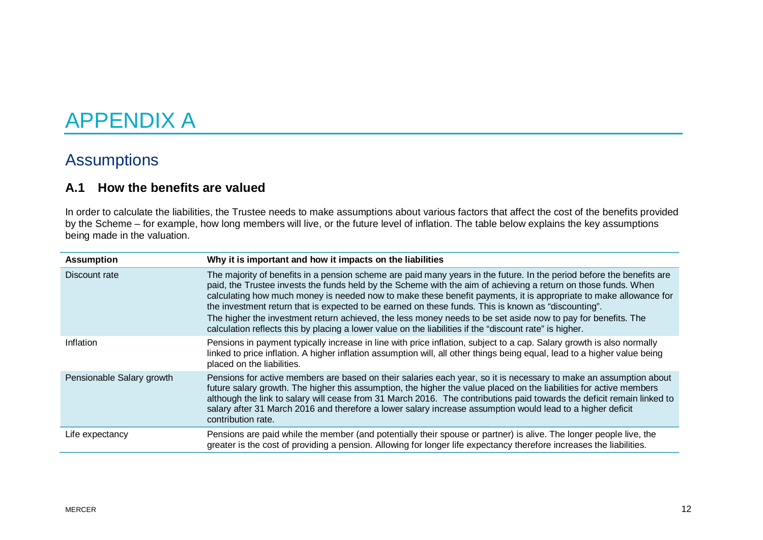# APPENDIX A

## Assumptions

#### **A.1 How the benefits are valued**

In order to calculate the liabilities, the Trustee needs to make assumptions about various factors that affect the cost of the benefits provided by the Scheme – for example, how long members will live, or the future level of inflation. The table below explains the key assumptions being made in the valuation.

| <b>Assumption</b>         | Why it is important and how it impacts on the liabilities                                                                                                                                                                                                                                                                                                                                                                                                                                                                                                                                                                                                                                     |
|---------------------------|-----------------------------------------------------------------------------------------------------------------------------------------------------------------------------------------------------------------------------------------------------------------------------------------------------------------------------------------------------------------------------------------------------------------------------------------------------------------------------------------------------------------------------------------------------------------------------------------------------------------------------------------------------------------------------------------------|
| Discount rate             | The majority of benefits in a pension scheme are paid many years in the future. In the period before the benefits are<br>paid, the Trustee invests the funds held by the Scheme with the aim of achieving a return on those funds. When<br>calculating how much money is needed now to make these benefit payments, it is appropriate to make allowance for<br>the investment return that is expected to be earned on these funds. This is known as "discounting".<br>The higher the investment return achieved, the less money needs to be set aside now to pay for benefits. The<br>calculation reflects this by placing a lower value on the liabilities if the "discount rate" is higher. |
| Inflation                 | Pensions in payment typically increase in line with price inflation, subject to a cap. Salary growth is also normally<br>linked to price inflation. A higher inflation assumption will, all other things being equal, lead to a higher value being<br>placed on the liabilities.                                                                                                                                                                                                                                                                                                                                                                                                              |
| Pensionable Salary growth | Pensions for active members are based on their salaries each year, so it is necessary to make an assumption about<br>future salary growth. The higher this assumption, the higher the value placed on the liabilities for active members<br>although the link to salary will cease from 31 March 2016. The contributions paid towards the deficit remain linked to<br>salary after 31 March 2016 and therefore a lower salary increase assumption would lead to a higher deficit<br>contribution rate.                                                                                                                                                                                        |
| Life expectancy           | Pensions are paid while the member (and potentially their spouse or partner) is alive. The longer people live, the<br>greater is the cost of providing a pension. Allowing for longer life expectancy therefore increases the liabilities.                                                                                                                                                                                                                                                                                                                                                                                                                                                    |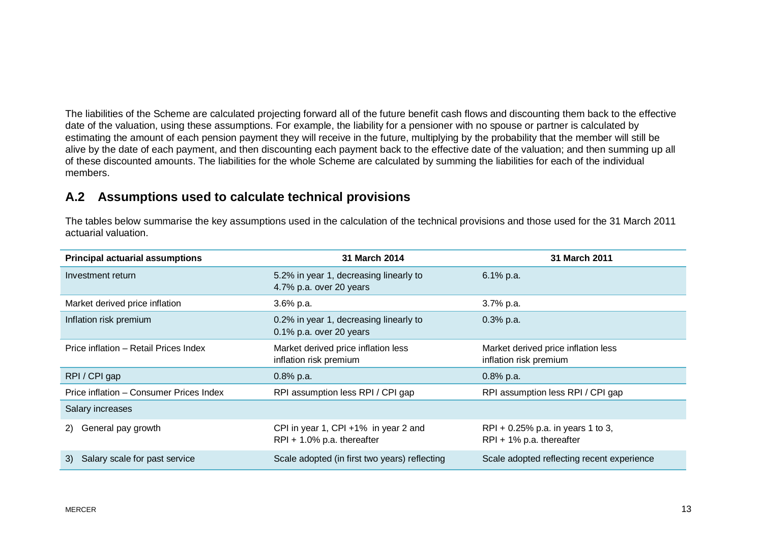The liabilities of the Scheme are calculated projecting forward all of the future benefit cash flows and discounting them back to the effective date of the valuation, using these assumptions. For example, the liability for a pensioner with no spouse or partner is calculated by estimating the amount of each pension payment they will receive in the future, multiplying by the probability that the member will still be alive by the date of each payment, and then discounting each payment back to the effective date of the valuation; and then summing up all of these discounted amounts. The liabilities for the whole Scheme are calculated by summing the liabilities for each of the individual members.

#### **A.2 Assumptions used to calculate technical provisions**

The tables below summarise the key assumptions used in the calculation of the technical provisions and those used for the 31 March 2011 actuarial valuation.

| <b>Principal actuarial assumptions</b>  | 31 March 2014                                                         | 31 March 2011                                                       |
|-----------------------------------------|-----------------------------------------------------------------------|---------------------------------------------------------------------|
| Investment return                       | 5.2% in year 1, decreasing linearly to<br>4.7% p.a. over 20 years     | 6.1% p.a.                                                           |
| Market derived price inflation          | 3.6% p.a.                                                             | 3.7% p.a.                                                           |
| Inflation risk premium                  | 0.2% in year 1, decreasing linearly to<br>$0.1\%$ p.a. over 20 years  | $0.3%$ p.a.                                                         |
| Price inflation - Retail Prices Index   | Market derived price inflation less<br>inflation risk premium         | Market derived price inflation less<br>inflation risk premium       |
| RPI/CPI gap                             | $0.8\%$ p.a.                                                          | $0.8\%$ p.a.                                                        |
| Price inflation - Consumer Prices Index | RPI assumption less RPI / CPI gap                                     | RPI assumption less RPI / CPI gap                                   |
| Salary increases                        |                                                                       |                                                                     |
| General pay growth<br>2)                | CPI in year 1, CPI +1% in year 2 and<br>$RPI + 1.0\%$ p.a. thereafter | RPI + $0.25\%$ p.a. in years 1 to 3,<br>$RPI + 1\%$ p.a. thereafter |
| Salary scale for past service<br>3)     | Scale adopted (in first two years) reflecting                         | Scale adopted reflecting recent experience                          |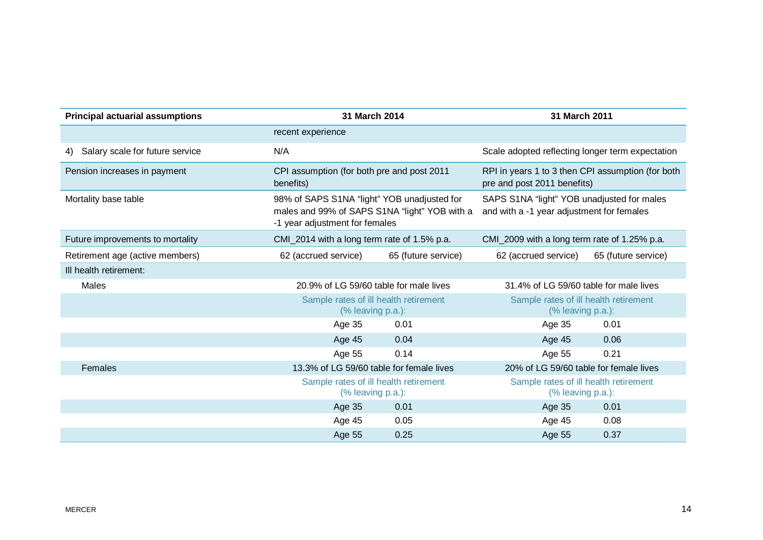| <b>Principal actuarial assumptions</b> | 31 March 2014                                                                                                                  |                     | 31 March 2011                                                                           |                     |
|----------------------------------------|--------------------------------------------------------------------------------------------------------------------------------|---------------------|-----------------------------------------------------------------------------------------|---------------------|
|                                        | recent experience                                                                                                              |                     |                                                                                         |                     |
| Salary scale for future service<br>4)  | N/A                                                                                                                            |                     | Scale adopted reflecting longer term expectation                                        |                     |
| Pension increases in payment           | CPI assumption (for both pre and post 2011<br>benefits)                                                                        |                     | RPI in years 1 to 3 then CPI assumption (for both<br>pre and post 2011 benefits)        |                     |
| Mortality base table                   | 98% of SAPS S1NA "light" YOB unadjusted for<br>males and 99% of SAPS S1NA "light" YOB with a<br>-1 year adjustment for females |                     | SAPS S1NA "light" YOB unadjusted for males<br>and with a -1 year adjustment for females |                     |
| Future improvements to mortality       | CMI_2014 with a long term rate of 1.5% p.a.                                                                                    |                     | CMI_2009 with a long term rate of 1.25% p.a.                                            |                     |
| Retirement age (active members)        | 62 (accrued service)                                                                                                           | 65 (future service) | 62 (accrued service)                                                                    | 65 (future service) |
| Ill health retirement:                 |                                                                                                                                |                     |                                                                                         |                     |
| Males                                  | 20.9% of LG 59/60 table for male lives                                                                                         |                     | 31.4% of LG 59/60 table for male lives                                                  |                     |
|                                        | Sample rates of ill health retirement<br>(% leaving p.a.):                                                                     |                     | Sample rates of ill health retirement<br>$%$ leaving $p.a.$ ):                          |                     |
|                                        | Age 35                                                                                                                         | 0.01                | Age 35                                                                                  | 0.01                |
|                                        | <b>Age 45</b>                                                                                                                  | 0.04                | Age 45                                                                                  | 0.06                |
|                                        | Age 55                                                                                                                         | 0.14                | Age 55                                                                                  | 0.21                |
| Females                                | 13.3% of LG 59/60 table for female lives                                                                                       |                     | 20% of LG 59/60 table for female lives                                                  |                     |
|                                        | Sample rates of ill health retirement<br>(% leaving p.a.):                                                                     |                     | Sample rates of ill health retirement<br>(% leaving p.a.):                              |                     |
|                                        | Age 35                                                                                                                         | 0.01                | Age 35                                                                                  | 0.01                |
|                                        | Age 45                                                                                                                         | 0.05                | Age 45                                                                                  | 0.08                |
|                                        | Age 55                                                                                                                         | 0.25                | Age 55                                                                                  | 0.37                |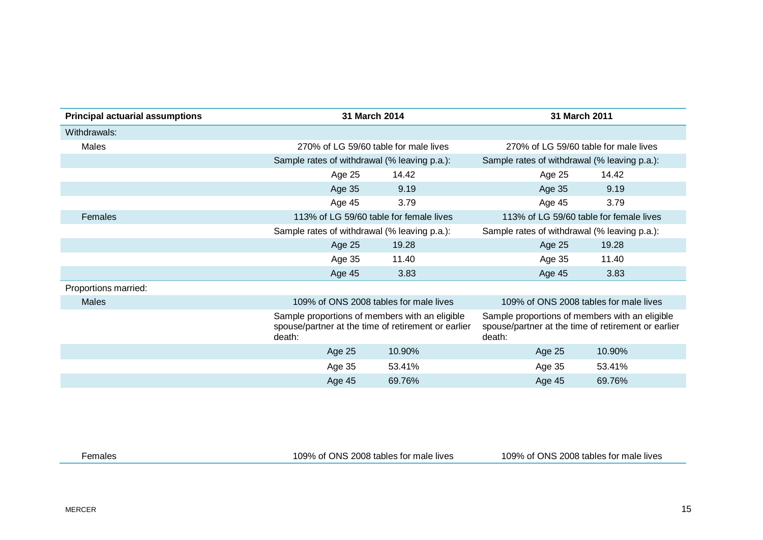| <b>Principal actuarial assumptions</b> | 31 March 2014                                |                                                                                                       | 31 March 2011                                                                                                   |        |
|----------------------------------------|----------------------------------------------|-------------------------------------------------------------------------------------------------------|-----------------------------------------------------------------------------------------------------------------|--------|
| Withdrawals:                           |                                              |                                                                                                       |                                                                                                                 |        |
| Males                                  |                                              | 270% of LG 59/60 table for male lives                                                                 | 270% of LG 59/60 table for male lives                                                                           |        |
|                                        | Sample rates of withdrawal (% leaving p.a.): |                                                                                                       | Sample rates of withdrawal (% leaving p.a.):                                                                    |        |
|                                        | Age 25                                       | 14.42                                                                                                 | Age 25                                                                                                          | 14.42  |
|                                        | Age 35                                       | 9.19                                                                                                  | Age 35                                                                                                          | 9.19   |
|                                        | Age 45                                       | 3.79                                                                                                  | Age 45                                                                                                          | 3.79   |
| Females                                |                                              | 113% of LG 59/60 table for female lives                                                               | 113% of LG 59/60 table for female lives                                                                         |        |
|                                        | Sample rates of withdrawal (% leaving p.a.): |                                                                                                       | Sample rates of withdrawal (% leaving p.a.):                                                                    |        |
|                                        | Age 25                                       | 19.28                                                                                                 | Age 25                                                                                                          | 19.28  |
|                                        | Age 35                                       | 11.40                                                                                                 | Age 35                                                                                                          | 11.40  |
|                                        | Age 45                                       | 3.83                                                                                                  | Age 45                                                                                                          | 3.83   |
| Proportions married:                   |                                              |                                                                                                       |                                                                                                                 |        |
| <b>Males</b>                           |                                              | 109% of ONS 2008 tables for male lives                                                                | 109% of ONS 2008 tables for male lives                                                                          |        |
|                                        | death:                                       | Sample proportions of members with an eligible<br>spouse/partner at the time of retirement or earlier | Sample proportions of members with an eligible<br>spouse/partner at the time of retirement or earlier<br>death: |        |
|                                        | Age 25                                       | 10.90%                                                                                                | Age 25                                                                                                          | 10.90% |
|                                        | Age 35                                       | 53.41%                                                                                                | Age 35                                                                                                          | 53.41% |
|                                        | Age 45                                       | 69.76%                                                                                                | Age 45                                                                                                          | 69.76% |

Females 109% of ONS 2008 tables for male lives 109% of ONS 2008 tables for male lives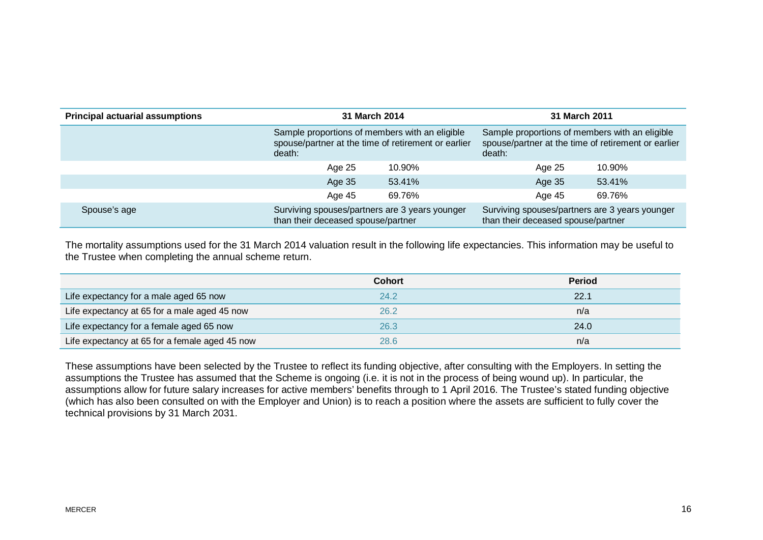| <b>Principal actuarial assumptions</b> |                                                                                      | 31 March 2014                                                                                                   |                                                                                      | 31 March 2011                                                                                         |
|----------------------------------------|--------------------------------------------------------------------------------------|-----------------------------------------------------------------------------------------------------------------|--------------------------------------------------------------------------------------|-------------------------------------------------------------------------------------------------------|
|                                        | death:                                                                               | Sample proportions of members with an eligible<br>spouse/partner at the time of retirement or earlier<br>death: |                                                                                      | Sample proportions of members with an eligible<br>spouse/partner at the time of retirement or earlier |
|                                        | Age 25                                                                               | 10.90%                                                                                                          | Age 25                                                                               | 10.90%                                                                                                |
|                                        | Age 35                                                                               | 53.41%                                                                                                          | Age 35                                                                               | 53.41%                                                                                                |
|                                        | Age 45                                                                               | 69.76%                                                                                                          | Age 45                                                                               | 69.76%                                                                                                |
| Spouse's age                           | Surviving spouses/partners are 3 years younger<br>than their deceased spouse/partner |                                                                                                                 | Surviving spouses/partners are 3 years younger<br>than their deceased spouse/partner |                                                                                                       |

The mortality assumptions used for the 31 March 2014 valuation result in the following life expectancies. This information may be useful to the Trustee when completing the annual scheme return.

|                                                | <b>Cohort</b> | <b>Period</b> |
|------------------------------------------------|---------------|---------------|
| Life expectancy for a male aged 65 now         | 24.2          | 22.1          |
| Life expectancy at 65 for a male aged 45 now   | 26.2          | n/a           |
| Life expectancy for a female aged 65 now       | 26.3          | 24.0          |
| Life expectancy at 65 for a female aged 45 now | 28.6          | n/a           |

These assumptions have been selected by the Trustee to reflect its funding objective, after consulting with the Employers. In setting the assumptions the Trustee has assumed that the Scheme is ongoing (i.e. it is not in the process of being wound up). In particular, the assumptions allow for future salary increases for active members' benefits through to 1 April 2016. The Trustee's stated funding objective (which has also been consulted on with the Employer and Union) is to reach a position where the assets are sufficient to fully cover the technical provisions by 31 March 2031.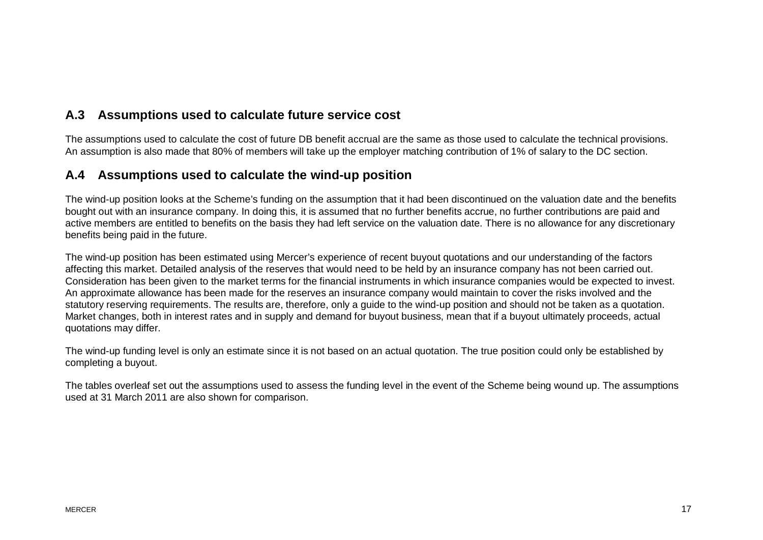#### **A.3 Assumptions used to calculate future service cost**

The assumptions used to calculate the cost of future DB benefit accrual are the same as those used to calculate the technical provisions. An assumption is also made that 80% of members will take up the employer matching contribution of 1% of salary to the DC section.

#### **A.4 Assumptions used to calculate the wind-up position**

The wind-up position looks at the Scheme's funding on the assumption that it had been discontinued on the valuation date and the benefits bought out with an insurance company. In doing this, it is assumed that no further benefits accrue, no further contributions are paid and active members are entitled to benefits on the basis they had left service on the valuation date. There is no allowance for any discretionary benefits being paid in the future.

The wind-up position has been estimated using Mercer's experience of recent buyout quotations and our understanding of the factors affecting this market. Detailed analysis of the reserves that would need to be held by an insurance company has not been carried out. Consideration has been given to the market terms for the financial instruments in which insurance companies would be expected to invest. An approximate allowance has been made for the reserves an insurance company would maintain to cover the risks involved and the statutory reserving requirements. The results are, therefore, only a guide to the wind-up position and should not be taken as a quotation. Market changes, both in interest rates and in supply and demand for buyout business, mean that if a buyout ultimately proceeds, actual quotations may differ.

The wind-up funding level is only an estimate since it is not based on an actual quotation. The true position could only be established by completing a buyout.

The tables overleaf set out the assumptions used to assess the funding level in the event of the Scheme being wound up. The assumptions used at 31 March 2011 are also shown for comparison.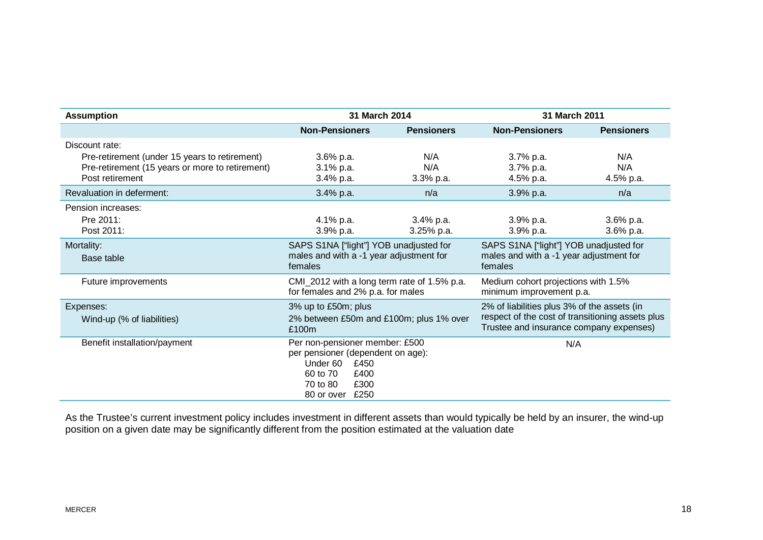| <b>Assumption</b>                                                                                                                     | 31 March 2014                                                                                                                                                                                                         |                           | 31 March 2011                                                        |                              |
|---------------------------------------------------------------------------------------------------------------------------------------|-----------------------------------------------------------------------------------------------------------------------------------------------------------------------------------------------------------------------|---------------------------|----------------------------------------------------------------------|------------------------------|
|                                                                                                                                       | <b>Non-Pensioners</b>                                                                                                                                                                                                 | <b>Pensioners</b>         | <b>Non-Pensioners</b>                                                | <b>Pensioners</b>            |
| Discount rate:<br>Pre-retirement (under 15 years to retirement)<br>Pre-retirement (15 years or more to retirement)<br>Post retirement | $3.6\%$ p.a.<br>3.1% p.a.<br>$3.4\%$ p.a.                                                                                                                                                                             | N/A<br>N/A<br>$3.3%$ p.a. | $3.7%$ p.a.<br>3.7% p.a.<br>4.5% p.a.                                | N/A<br>N/A<br>4.5% p.a.      |
| Revaluation in deferment:                                                                                                             | 3.4% p.a.                                                                                                                                                                                                             | n/a                       | 3.9% p.a.                                                            | n/a                          |
| Pension increases:<br>Pre 2011:<br>Post 2011:<br>Mortality:                                                                           | 4.1% p.a.<br>3.9% p.a.<br>SAPS S1NA ["light"] YOB unadjusted for                                                                                                                                                      | 3.4% p.a.<br>$3.25%$ p.a. | $3.9%$ p.a.<br>$3.9%$ p.a.<br>SAPS S1NA ["light"] YOB unadjusted for | $3.6\%$ p.a.<br>$3.6\%$ p.a. |
| Base table                                                                                                                            | males and with a -1 year adjustment for<br>males and with a -1 year adjustment for<br>females<br>females                                                                                                              |                           |                                                                      |                              |
| Future improvements                                                                                                                   | CMI_2012 with a long term rate of 1.5% p.a.<br>Medium cohort projections with 1.5%<br>for females and 2% p.a. for males<br>minimum improvement p.a.                                                                   |                           |                                                                      |                              |
| Expenses:<br>Wind-up (% of liabilities)                                                                                               | 2% of liabilities plus 3% of the assets (in<br>3% up to £50m; plus<br>respect of the cost of transitioning assets plus<br>2% between £50m and £100m; plus 1% over<br>Trustee and insurance company expenses)<br>£100m |                           |                                                                      |                              |
| Benefit installation/payment                                                                                                          | Per non-pensioner member: £500<br>N/A<br>per pensioner (dependent on age):<br>Under 60<br>£450<br>60 to 70<br>£400<br>£300<br>70 to 80<br>80 or over £250                                                             |                           |                                                                      |                              |

As the Trustee's current investment policy includes investment in different assets than would typically be held by an insurer, the wind-up position on a given date may be significantly different from the position estimated at the valuation date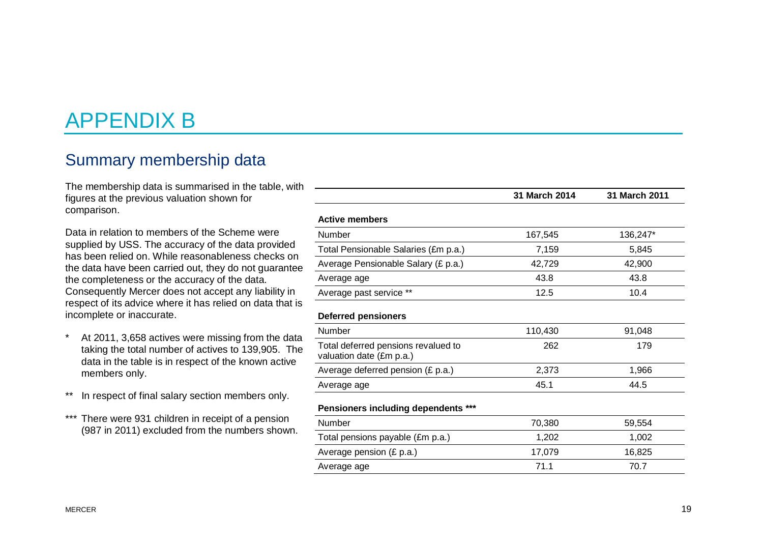# APPENDIX B

## Summary membership data

The membership data is summarised in the table, with figures at the previous valuation shown for comparison.

Data in relation to members of the Scheme were supplied by USS. The accuracy of the data provided has been relied on. While reasonableness checks on the data have been carried out, they do not guarantee the completeness or the accuracy of the data. Consequently Mercer does not accept any liability in respect of its advice where it has relied on data that is incomplete or inaccurate.

- \* At 2011, 3,658 actives were missing from the data taking the total number of actives to 139,905. The data in the table is in respect of the known active members only.
- \*\* In respect of final salary section members only.
- \*\*\* There were 931 children in receipt of a pension (987 in 2011) excluded from the numbers shown.

|                                                                 | 31 March 2014 | 31 March 2011 |
|-----------------------------------------------------------------|---------------|---------------|
| <b>Active members</b>                                           |               |               |
| Number                                                          | 167,545       | 136,247*      |
| Total Pensionable Salaries (£m p.a.)                            | 7,159         | 5,845         |
| Average Pensionable Salary (£ p.a.)                             | 42,729        | 42,900        |
| Average age                                                     | 43.8          | 43.8          |
| Average past service **                                         | 12.5          | 10.4          |
| <b>Deferred pensioners</b>                                      |               |               |
| Number                                                          | 110,430       | 91,048        |
| Total deferred pensions revalued to<br>valuation date (£m p.a.) | 262           | 179           |
| Average deferred pension (£ p.a.)                               | 2,373         | 1,966         |
| Average age                                                     | 45.1          | 44.5          |
| <b>Pensioners including dependents ***</b>                      |               |               |
| Number                                                          | 70,380        | 59,554        |
| Total pensions payable (£m p.a.)                                | 1,202         | 1,002         |
| Average pension (£ p.a.)                                        | 17,079        | 16,825        |
| Average age                                                     | 71.1          | 70.7          |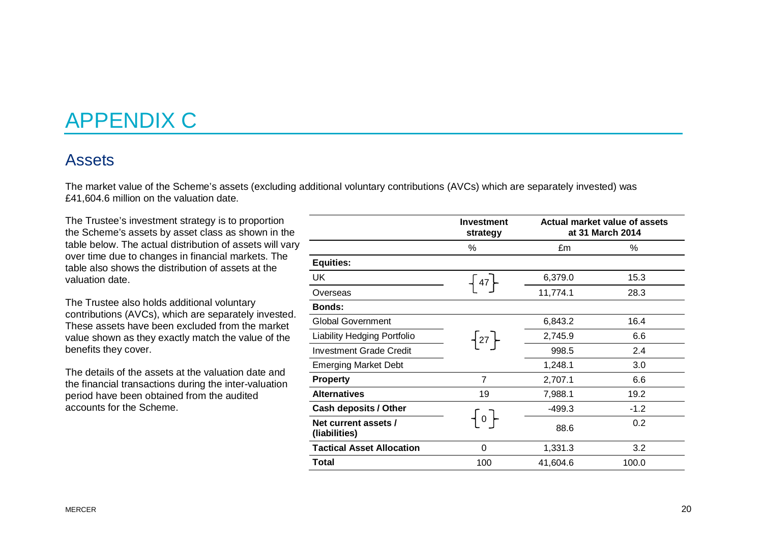# APPENDIX C

### Assets

The market value of the Scheme's assets (excluding additional voluntary contributions (AVCs) which are separately invested) was £41,604.6 million on the valuation date.

The Trustee's investment strategy is to proportion the Scheme's assets by asset class as shown in the table below. The actual distribution of assets will vary over time due to changes in financial markets. The table also shows the distribution of assets at the valuation date.

The Trustee also holds additional voluntary contributions (AVCs), which are separately invested. These assets have been excluded from the market value shown as they exactly match the value of the benefits they cover.

The details of the assets at the valuation date and the financial transactions during the inter-valuation period have been obtained from the audited accounts for the Scheme.

|                                       | <b>Investment</b><br>strategy | Actual market value of assets<br>at 31 March 2014 |        |
|---------------------------------------|-------------------------------|---------------------------------------------------|--------|
|                                       | %                             | £m                                                | %      |
| <b>Equities:</b>                      |                               |                                                   |        |
| UK                                    | $-47$                         | 6,379.0                                           | 15.3   |
| Overseas                              |                               | 11,774.1                                          | 28.3   |
| <b>Bonds:</b>                         |                               |                                                   |        |
| <b>Global Government</b>              |                               | 6,843.2                                           | 16.4   |
| Liability Hedging Portfolio           | $\{27\}$                      | 2,745.9                                           | 6.6    |
| Investment Grade Credit               |                               | 998.5                                             | 2.4    |
| <b>Emerging Market Debt</b>           |                               | 1,248.1                                           | 3.0    |
| <b>Property</b>                       | $\overline{7}$                | 2,707.1                                           | 6.6    |
| <b>Alternatives</b>                   | 19                            | 7,988.1                                           | 19.2   |
| <b>Cash deposits / Other</b>          |                               | $-499.3$                                          | $-1.2$ |
| Net current assets /<br>(liabilities) | $\mathbf{0}$                  | 88.6                                              | 0.2    |
| <b>Tactical Asset Allocation</b>      | $\Omega$                      | 1,331.3                                           | 3.2    |
| Total                                 | 100                           | 41,604.6                                          | 100.0  |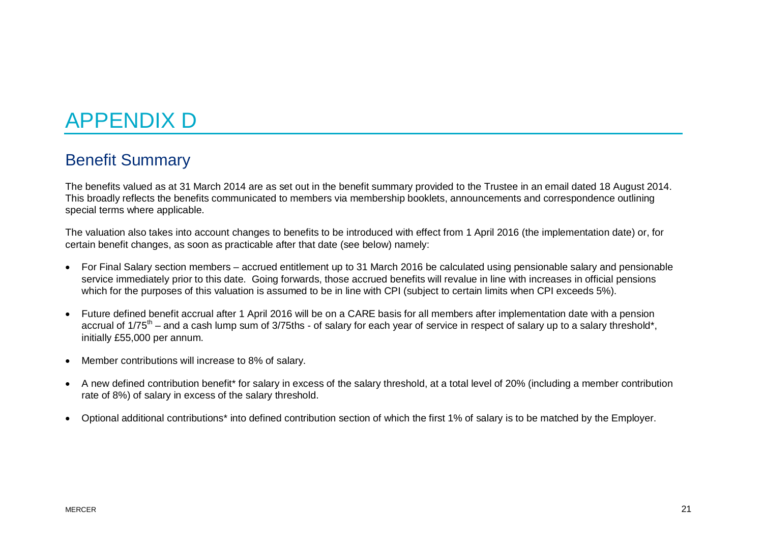# APPENDIX D

# Benefit Summary

The benefits valued as at 31 March 2014 are as set out in the benefit summary provided to the Trustee in an email dated 18 August 2014. This broadly reflects the benefits communicated to members via membership booklets, announcements and correspondence outlining special terms where applicable.

The valuation also takes into account changes to benefits to be introduced with effect from 1 April 2016 (the implementation date) or, for certain benefit changes, as soon as practicable after that date (see below) namely:

- · For Final Salary section members accrued entitlement up to 31 March 2016 be calculated using pensionable salary and pensionable service immediately prior to this date. Going forwards, those accrued benefits will revalue in line with increases in official pensions which for the purposes of this valuation is assumed to be in line with CPI (subject to certain limits when CPI exceeds 5%).
- · Future defined benefit accrual after 1 April 2016 will be on a CARE basis for all members after implementation date with a pension accrual of  $1/75<sup>th</sup>$  – and a cash lump sum of 3/75ths - of salary for each year of service in respect of salary up to a salary threshold\*. initially £55,000 per annum.
- · Member contributions will increase to 8% of salary.
- · A new defined contribution benefit\* for salary in excess of the salary threshold, at a total level of 20% (including a member contribution rate of 8%) of salary in excess of the salary threshold.
- · Optional additional contributions\* into defined contribution section of which the first 1% of salary is to be matched by the Employer.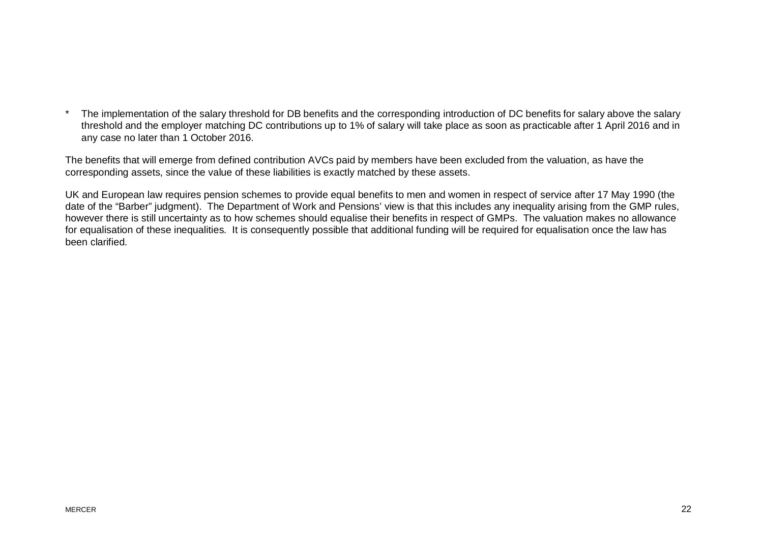The implementation of the salary threshold for DB benefits and the corresponding introduction of DC benefits for salary above the salary threshold and the employer matching DC contributions up to 1% of salary will take place as soon as practicable after 1 April 2016 and in any case no later than 1 October 2016.

The benefits that will emerge from defined contribution AVCs paid by members have been excluded from the valuation, as have the corresponding assets, since the value of these liabilities is exactly matched by these assets.

UK and European law requires pension schemes to provide equal benefits to men and women in respect of service after 17 May 1990 (the date of the "Barber" judgment). The Department of Work and Pensions' view is that this includes any inequality arising from the GMP rules, however there is still uncertainty as to how schemes should equalise their benefits in respect of GMPs. The valuation makes no allowance for equalisation of these inequalities. It is consequently possible that additional funding will be required for equalisation once the law has been clarified.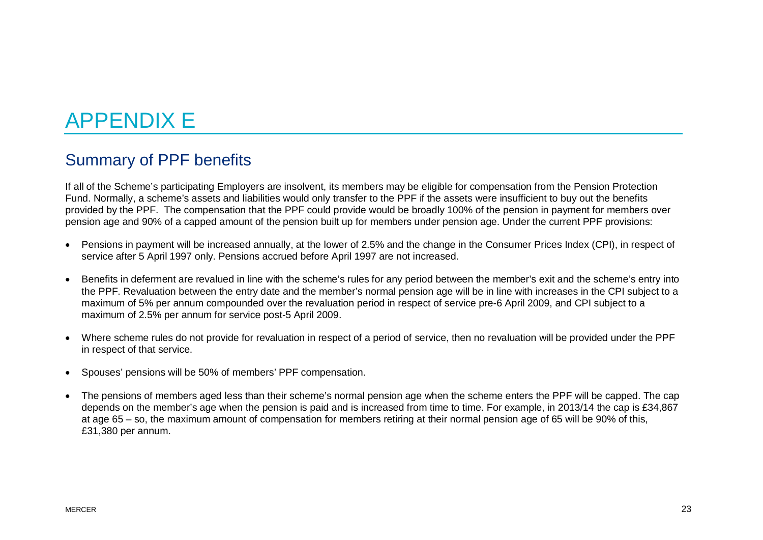# APPENDIX E

# Summary of PPF benefits

If all of the Scheme's participating Employers are insolvent, its members may be eligible for compensation from the Pension Protection Fund. Normally, a scheme's assets and liabilities would only transfer to the PPF if the assets were insufficient to buy out the benefits provided by the PPF. The compensation that the PPF could provide would be broadly 100% of the pension in payment for members over pension age and 90% of a capped amount of the pension built up for members under pension age. Under the current PPF provisions:

- · Pensions in payment will be increased annually, at the lower of 2.5% and the change in the Consumer Prices Index (CPI), in respect of service after 5 April 1997 only. Pensions accrued before April 1997 are not increased.
- · Benefits in deferment are revalued in line with the scheme's rules for any period between the member's exit and the scheme's entry into the PPF. Revaluation between the entry date and the member's normal pension age will be in line with increases in the CPI subject to a maximum of 5% per annum compounded over the revaluation period in respect of service pre-6 April 2009, and CPI subject to a maximum of 2.5% per annum for service post-5 April 2009.
- · Where scheme rules do not provide for revaluation in respect of a period of service, then no revaluation will be provided under the PPF in respect of that service.
- · Spouses' pensions will be 50% of members' PPF compensation.
- · The pensions of members aged less than their scheme's normal pension age when the scheme enters the PPF will be capped. The cap depends on the member's age when the pension is paid and is increased from time to time. For example, in 2013/14 the cap is £34,867 at age 65 – so, the maximum amount of compensation for members retiring at their normal pension age of 65 will be 90% of this, £31,380 per annum.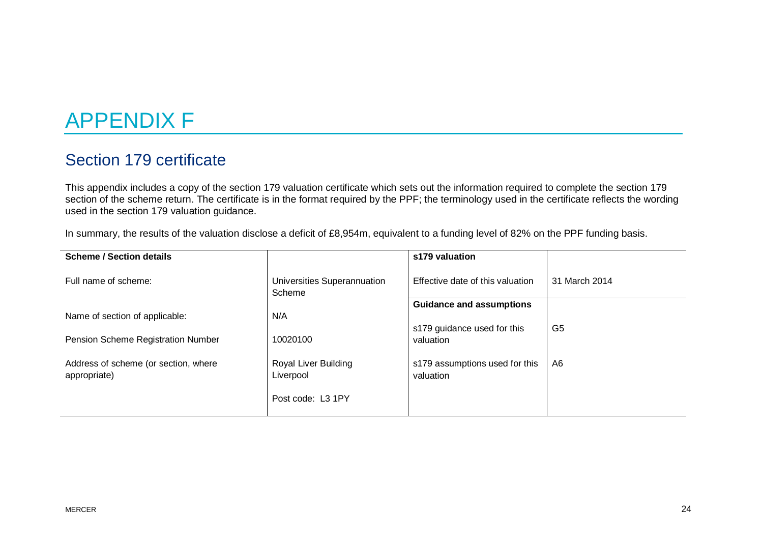# APPENDIX F

# Section 179 certificate

This appendix includes a copy of the section 179 valuation certificate which sets out the information required to complete the section 179 section of the scheme return. The certificate is in the format required by the PPF; the terminology used in the certificate reflects the wording used in the section 179 valuation guidance.

In summary, the results of the valuation disclose a deficit of £8,954m, equivalent to a funding level of 82% on the PPF funding basis.

| <b>Scheme / Section details</b>                      |                                       | s179 valuation                              |               |
|------------------------------------------------------|---------------------------------------|---------------------------------------------|---------------|
| Full name of scheme:                                 | Universities Superannuation<br>Scheme | Effective date of this valuation            | 31 March 2014 |
|                                                      |                                       | <b>Guidance and assumptions</b>             |               |
| Name of section of applicable:                       | N/A                                   |                                             |               |
| Pension Scheme Registration Number                   | 10020100                              | s179 guidance used for this<br>valuation    | G5            |
| Address of scheme (or section, where<br>appropriate) | Royal Liver Building<br>Liverpool     | s179 assumptions used for this<br>valuation | A6            |
|                                                      | Post code: L3 1PY                     |                                             |               |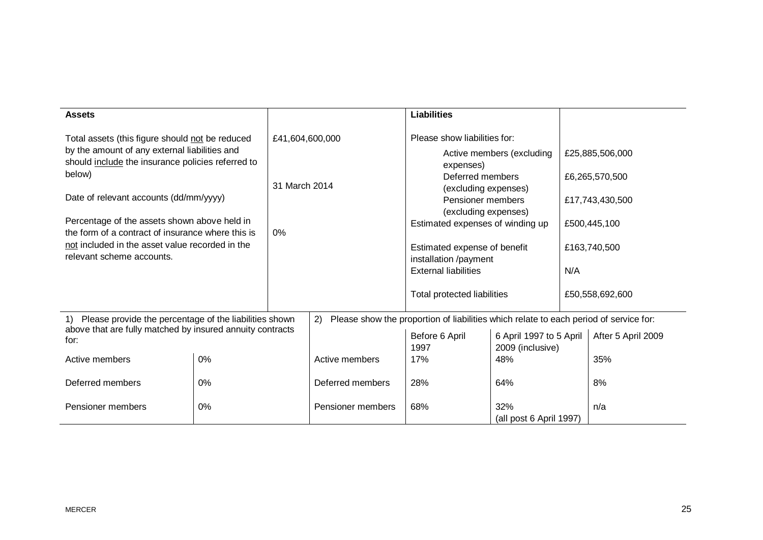| <b>Assets</b>                                                                                                                     |    |                 |                                                                                       | <b>Liabilities</b>                                       |                                             |     |                    |  |
|-----------------------------------------------------------------------------------------------------------------------------------|----|-----------------|---------------------------------------------------------------------------------------|----------------------------------------------------------|---------------------------------------------|-----|--------------------|--|
| Total assets (this figure should not be reduced                                                                                   |    | £41,604,600,000 |                                                                                       | Please show liabilities for:                             |                                             |     |                    |  |
| by the amount of any external liabilities and<br>should include the insurance policies referred to                                |    |                 |                                                                                       | Active members (excluding<br>expenses)                   |                                             |     | £25,885,506,000    |  |
| below)                                                                                                                            |    | 31 March 2014   |                                                                                       | Deferred members                                         |                                             |     | £6,265,570,500     |  |
| Date of relevant accounts (dd/mm/yyyy)                                                                                            |    |                 |                                                                                       |                                                          | (excluding expenses)<br>Pensioner members   |     | £17,743,430,500    |  |
| Percentage of the assets shown above held in                                                                                      |    |                 |                                                                                       | (excluding expenses)<br>Estimated expenses of winding up |                                             |     | £500,445,100       |  |
| the form of a contract of insurance where this is<br>not included in the asset value recorded in the<br>relevant scheme accounts. |    | 0%              |                                                                                       | Estimated expense of benefit<br>installation /payment    |                                             |     | £163,740,500       |  |
|                                                                                                                                   |    |                 |                                                                                       | <b>External liabilities</b>                              |                                             | N/A |                    |  |
|                                                                                                                                   |    |                 |                                                                                       | Total protected liabilities                              |                                             |     | £50,558,692,600    |  |
| Please provide the percentage of the liabilities shown<br>1)                                                                      |    | 2)              | Please show the proportion of liabilities which relate to each period of service for: |                                                          |                                             |     |                    |  |
| above that are fully matched by insured annuity contracts<br>for:                                                                 |    |                 |                                                                                       | Before 6 April<br>1997                                   | 6 April 1997 to 5 April<br>2009 (inclusive) |     | After 5 April 2009 |  |
| Active members                                                                                                                    | 0% |                 | Active members                                                                        | 17%                                                      | 48%                                         |     | 35%                |  |
| Deferred members                                                                                                                  | 0% |                 | Deferred members                                                                      | 28%                                                      | 64%                                         |     | 8%                 |  |
| Pensioner members                                                                                                                 | 0% |                 | Pensioner members                                                                     | 68%                                                      | 32%<br>(all post 6 April 1997)              |     | n/a                |  |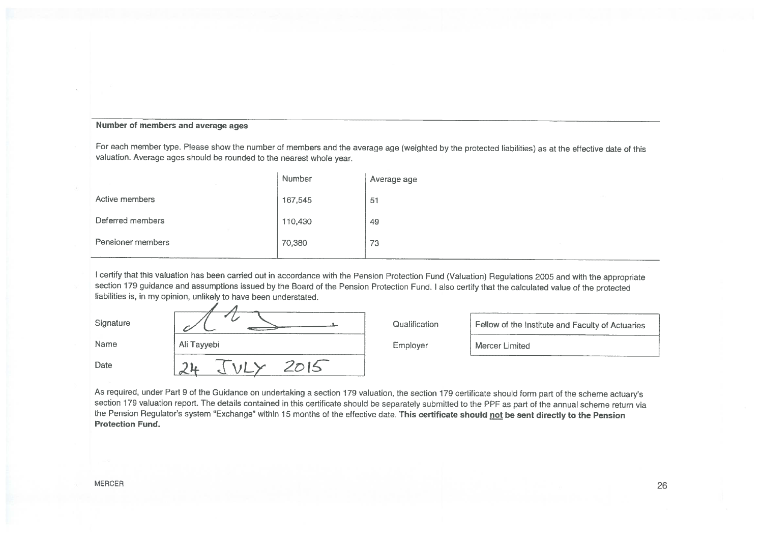#### Number of members and average ages

For each member type. Please show the number of members and the average age (weighted by the protected liabilities) as at the effective date of this valuation. Average ages should be rounded to the nearest whole year.

|                   | Number  | Average age |  |
|-------------------|---------|-------------|--|
| Active members    | 167,545 | 51          |  |
| Deferred members  | 110,430 | 49          |  |
| Pensioner members | 70,380  | 73          |  |

I certify that this valuation has been carried out in accordance with the Pension Protection Fund (Valuation) Regulations 2005 and with the appropriate section 179 guidance and assumptions issued by the Board of the Pension Protection Fund. I also certify that the calculated value of the protected liabilities is, in my opinion, unlikely to have been understated.

| Signature |             | Qualification | Fellow of the Institute and Faculty of Actuaries |
|-----------|-------------|---------------|--------------------------------------------------|
| Name      | Ali Tayyebi | Employer      | Mercer Limited                                   |
| Date      |             |               |                                                  |

As required, under Part 9 of the Guidance on undertaking a section 179 valuation, the section 179 certificate should form part of the scheme actuary's section 179 valuation report. The details contained in this certificate should be separately submitted to the PPF as part of the annual scheme return via the Pension Regulator's system "Exchange" within 15 months of the effective date. This certificate should not be sent directly to the Pension **Protection Fund.**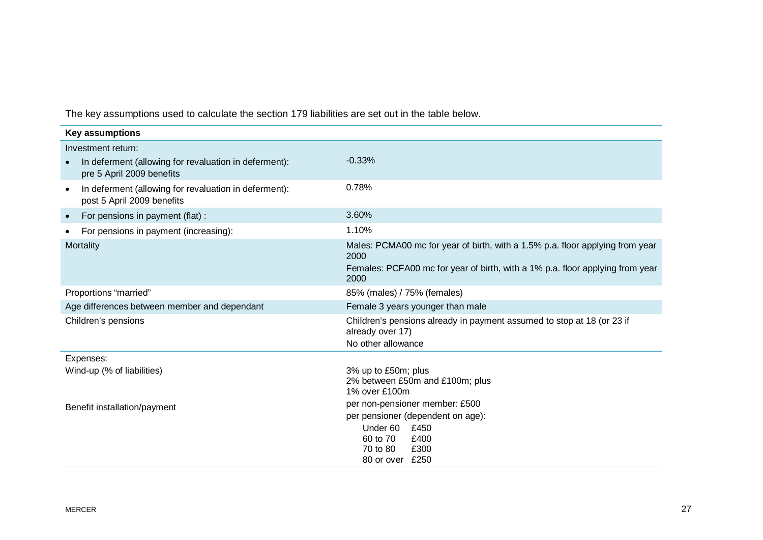The key assumptions used to calculate the section 179 liabilities are set out in the table below.

| <b>Key assumptions</b>                                                                           |                                                                                                                                                                                |  |  |
|--------------------------------------------------------------------------------------------------|--------------------------------------------------------------------------------------------------------------------------------------------------------------------------------|--|--|
| Investment return:                                                                               |                                                                                                                                                                                |  |  |
| In deferment (allowing for revaluation in deferment):<br>$\bullet$<br>pre 5 April 2009 benefits  | $-0.33%$                                                                                                                                                                       |  |  |
| In deferment (allowing for revaluation in deferment):<br>$\bullet$<br>post 5 April 2009 benefits | 0.78%                                                                                                                                                                          |  |  |
| For pensions in payment (flat) :<br>$\bullet$                                                    | 3.60%                                                                                                                                                                          |  |  |
| For pensions in payment (increasing):<br>$\bullet$                                               | 1.10%                                                                                                                                                                          |  |  |
| Mortality                                                                                        | Males: PCMA00 mc for year of birth, with a 1.5% p.a. floor applying from year<br>2000<br>Females: PCFA00 mc for year of birth, with a 1% p.a. floor applying from year<br>2000 |  |  |
| Proportions "married"                                                                            | 85% (males) / 75% (females)                                                                                                                                                    |  |  |
| Age differences between member and dependant                                                     | Female 3 years younger than male                                                                                                                                               |  |  |
| Children's pensions                                                                              | Children's pensions already in payment assumed to stop at 18 (or 23 if<br>already over 17)<br>No other allowance                                                               |  |  |
| Expenses:                                                                                        |                                                                                                                                                                                |  |  |
| Wind-up (% of liabilities)                                                                       | 3% up to £50m; plus<br>2% between £50m and £100m; plus<br>1% over £100m                                                                                                        |  |  |
| Benefit installation/payment                                                                     | per non-pensioner member: £500<br>per pensioner (dependent on age):<br>Under 60<br>£450<br>60 to 70<br>£400<br>£300<br>70 to 80                                                |  |  |
|                                                                                                  | 80 or over £250                                                                                                                                                                |  |  |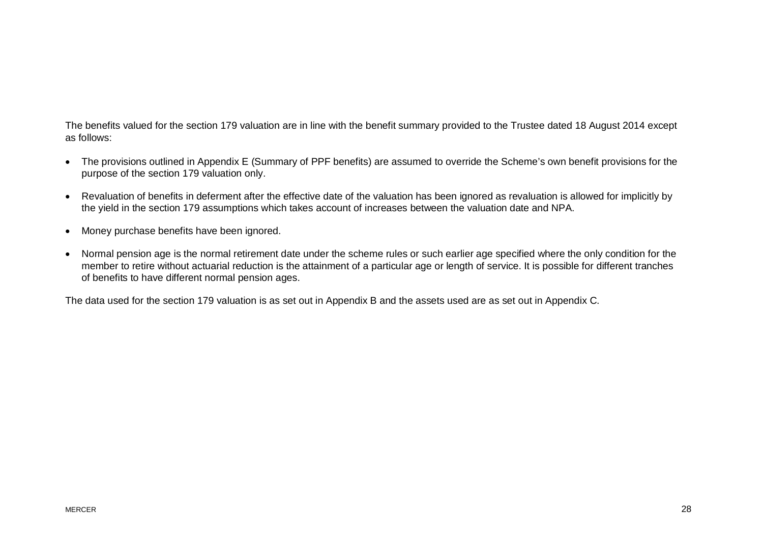The benefits valued for the section 179 valuation are in line with the benefit summary provided to the Trustee dated 18 August 2014 except as follows:

- · The provisions outlined in Appendix E (Summary of PPF benefits) are assumed to override the Scheme's own benefit provisions for the purpose of the section 179 valuation only.
- · Revaluation of benefits in deferment after the effective date of the valuation has been ignored as revaluation is allowed for implicitly by the yield in the section 179 assumptions which takes account of increases between the valuation date and NPA.
- · Money purchase benefits have been ignored.
- · Normal pension age is the normal retirement date under the scheme rules or such earlier age specified where the only condition for the member to retire without actuarial reduction is the attainment of a particular age or length of service. It is possible for different tranches of benefits to have different normal pension ages.

The data used for the section 179 valuation is as set out in Appendix B and the assets used are as set out in Appendix C.